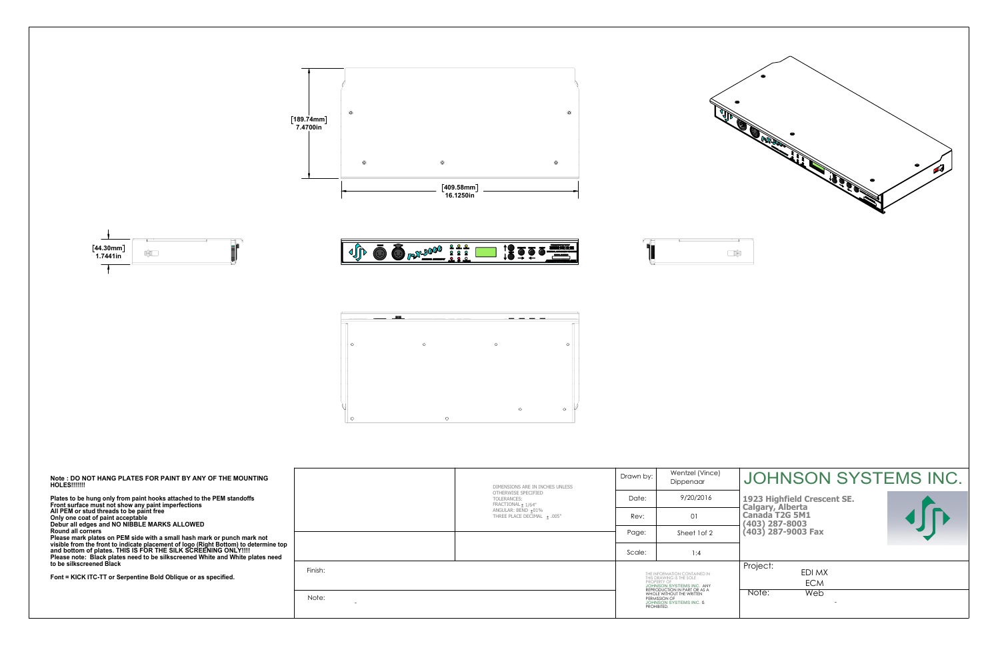| Note: DO NOT HANG PLATES FOR PAINT BY ANY OF THE MOUNTING<br>HOLES!!!!!!!<br>Plates to be hung only from paint hooks attached to the PEM standoffs<br>Front surface must not show any paint imperfections<br>All PEM or stud threads to be paint free<br>Only one coat of paint acceptable<br>Debur all edges and NO NIBBLE MARKS ALLOWED<br><b>Round all corners</b><br>Please mark plates on PEM side with a small hash mark or punch mark not<br>visible from the front to indicate placement of logo (Right Bottom) to determine top<br>and bottom of plates. THIS IS FOR THE SILK SCREENING ONLY!!!!<br>Please note: Black plates need to be silkscreened White and White plates need<br>to be silkscreened Black<br>Font = KICK ITC-TT or Serpentine Bold Oblique or as specified. |         | DIMENSIONS ARE IN INCHES UNLESS<br>OTHERWISE SPECIFIED<br>TOLERANCES:<br>FRACTIONAL ± 1/64"<br>ANGULAR: BEND ±01%<br>THREE PLACE DECIMAL ± .005" | Drawn by:                                                                                                                                                                                                         | Wentzel (Vince)<br>Dippenaar |
|------------------------------------------------------------------------------------------------------------------------------------------------------------------------------------------------------------------------------------------------------------------------------------------------------------------------------------------------------------------------------------------------------------------------------------------------------------------------------------------------------------------------------------------------------------------------------------------------------------------------------------------------------------------------------------------------------------------------------------------------------------------------------------------|---------|--------------------------------------------------------------------------------------------------------------------------------------------------|-------------------------------------------------------------------------------------------------------------------------------------------------------------------------------------------------------------------|------------------------------|
|                                                                                                                                                                                                                                                                                                                                                                                                                                                                                                                                                                                                                                                                                                                                                                                          |         |                                                                                                                                                  | Date:                                                                                                                                                                                                             | 9/20/2016                    |
|                                                                                                                                                                                                                                                                                                                                                                                                                                                                                                                                                                                                                                                                                                                                                                                          |         |                                                                                                                                                  | Rev:                                                                                                                                                                                                              | 01                           |
|                                                                                                                                                                                                                                                                                                                                                                                                                                                                                                                                                                                                                                                                                                                                                                                          |         |                                                                                                                                                  | Page:                                                                                                                                                                                                             | Sheet 1 of 2                 |
|                                                                                                                                                                                                                                                                                                                                                                                                                                                                                                                                                                                                                                                                                                                                                                                          |         |                                                                                                                                                  | Scale:                                                                                                                                                                                                            | 1:4                          |
|                                                                                                                                                                                                                                                                                                                                                                                                                                                                                                                                                                                                                                                                                                                                                                                          | Finish: |                                                                                                                                                  | THE INFORMATION CONTAINED IN<br>THIS DRAWING IS THE SOLE<br><b>PROPERTY OF</b><br>JOHNSON SYSTEMS INC. ANY<br>REPRODUCTION IN PART OR AS A<br>WHOLE WITHOUT THE WRITTEN<br>JOHNSON SYSTEMS INC. IS<br>PROHIBITED. |                              |
|                                                                                                                                                                                                                                                                                                                                                                                                                                                                                                                                                                                                                                                                                                                                                                                          | Note:   |                                                                                                                                                  |                                                                                                                                                                                                                   |                              |







Þ